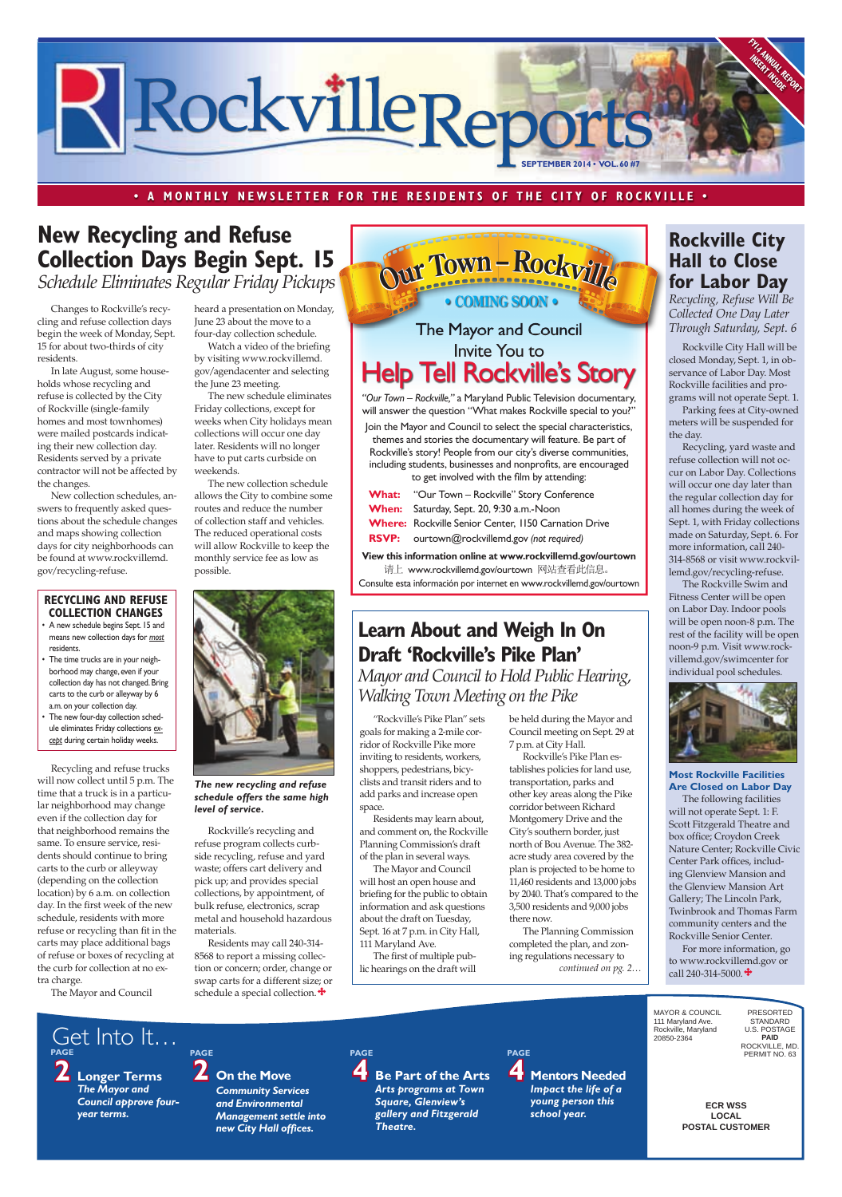**ECR WSS LOCAL POSTAL CUSTOMER**

MAYOR & COUNCIL 111 Maryland Ave. Rockville, Maryland 20850-2364

*Community Services and Environmental Management settle into*  **new City Hall offices.** 

PAGE<br>**4** Be Part of the Arts

PRESORTED STANDARD U.S. POSTAGE **PAID** ROCKVILLE, MD. PERMIT NO. 63

**2 Longer Terms**  *The Mayor and Council approve fouryear terms.*

**2 On the Move**

*Arts programs at Town Square, Glenview's gallery and Fitzgerald Theatre.*

**PAGE**

**4 Mentors Needed**  *Impact the life of a young person this school year.* **PAGE PAGE PAGE**

#### **• A MONTHLY NEWSLETTER FOR THE RESIDENTS OF THE CITY OF ROCKVILLE •**

Get Into It…



### **Rockville City Hall to Close for Labor Day**

*Recycling, Refuse Will Be Collected One Day Later Through Saturday, Sept. 6* 

Rockville City Hall will be closed Monday, Sept. 1, in observance of Labor Day. Most Rockville facilities and programs will not operate Sept. 1.

Parking fees at City-owned meters will be suspended for the day.

Recycling, yard waste and refuse collection will not occur on Labor Day. Collections will occur one day later than the regular collection day for all homes during the week of Sept. 1, with Friday collections made on Saturday, Sept. 6. For more information, call 240- 314-8568 or visit www.rockvillemd.gov/recycling-refuse.

Watch a video of the briefing by visiting www.rockvillemd. gov/agendacenter and selecting the June 23 meeting.

> The Rockville Swim and Fitness Center will be open on Labor Day. Indoor pools will be open noon-8 p.m. The rest of the facility will be open noon-9 p.m. Visit www.rockvillemd.gov/swimcenter for individual pool schedules.



**RECYCLING AND REFUSE COLLECTION CHANGES**

- A new schedule begins Sept. 15 and means new collection days for *most* residents.
- The time trucks are in your neighborhood may change, even if your collection day has not changed. Bring carts to the curb or alleyway by 6 a.m. on your collection day.
- The new four-day collection schedule eliminates Friday collections *except* during certain holiday weeks.

Changes to Rockville's recycling and refuse collection days begin the week of Monday, Sept. 15 for about two-thirds of city residents.

In late August, some households whose recycling and refuse is collected by the City of Rockville (single-family homes and most townhomes) were mailed postcards indicating their new collection day. Residents served by a private contractor will not be affected by the changes.

Join the Mayor and Council to select the special characteristics, themes and stories the documentary will feature. Be part of Rockville's story! People from our city's diverse communities, including students, businesses and nonprofits, are encouraged to get involved with the film by attending:

New collection schedules, answers to frequently asked questions about the schedule changes and maps showing collection days for city neighborhoods can be found at www.rockvillemd. gov/recycling-refuse.

## **New Recycling and Refuse Collection Days Begin Sept. 15** *Schedule Eliminates Regular Friday Pickups*

- What: "Our Town Rockville" Story Conference **When:** Saturday, Sept. 20, 9:30 a.m.-Noon **Where:** Rockville Senior Center, 1150 Carnation Drive
- **RSVP:** ourtown@rockvillemd.gov *(not required)*

heard a presentation on Monday, June 23 about the move to a four-day collection schedule.

The new schedule eliminates Friday collections, except for weeks when City holidays mean collections will occur one day later. Residents will no longer have to put carts curbside on weekends.

Residents may call 240-314- 8568 to report a missing collection or concern; order, change or swap carts for a different size; or schedule a special collection. $\mathbf{\ddot{+}}$ 

The new collection schedule allows the City to combine some routes and reduce the number of collection staff and vehicles. The reduced operational costs will allow Rockville to keep the monthly service fee as low as possible.



The following facilities will not operate Sept. 1: F. Scott Fitzgerald Theatre and box office; Croydon Creek Nature Center; Rockville Civic Center Park offices, including Glenview Mansion and the Glenview Mansion Art Gallery; The Lincoln Park, Twinbrook and Thomas Farm community centers and the Rockville Senior Center. For more information, go to www.rockvillemd.gov or call 240-314-5000. $\ddot{\bullet}$ 

"Rockville's Pike Plan" sets goals for making a 2-mile corridor of Rockville Pike more inviting to residents, workers, shoppers, pedestrians, bicyclists and transit riders and to add parks and increase open space.

Residents may learn about, and comment on, the Rockville Planning Commission's draft of the plan in several ways.

The Mayor and Council will host an open house and briefing for the public to obtain information and ask questions about the draft on Tuesday, Sept. 16 at 7 p.m. in City Hall, 111 Maryland Ave. The first of multiple public hearings on the draft will

*continued on pg. 2…* The Planning Commission completed the plan, and zoning regulations necessary to

## **Learn About and Weigh In On Draft 'Rockville's Pike Plan'** *Mayor and Council to Hold Public Hearing, Walking Town Meeting on the Pike*

be held during the Mayor and Council meeting on Sept. 29 at 7 p.m. at City Hall.

Rockville's Pike Plan establishes policies for land use, transportation, parks and other key areas along the Pike corridor between Richard Montgomery Drive and the City's southern border, just north of Bou Avenue. The 382 acre study area covered by the plan is projected to be home to 11,460 residents and 13,000 jobs by 2040. That's compared to the 3,500 residents and 9,000 jobs there now.

#### *The new recycling and refuse schedule offers the same high level of service.*

*"Our Town – Rockville,"* a Maryland Public Television documentary, will answer the question "What makes Rockville special to you?"

**View this information online at www.rockvillemd.gov/ourtown** 请上 www.rockvillemd.gov/ourtown 网站查看此信息。 Consulte esta información por internet en www.rockvillemd.gov/ourtown

Recycling and refuse trucks will now collect until 5 p.m. The time that a truck is in a particular neighborhood may change even if the collection day for that neighborhood remains the same. To ensure service, residents should continue to bring carts to the curb or alleyway (depending on the collection location) by 6 a.m. on collection day. In the first week of the new schedule, residents with more refuse or recycling than fit in the carts may place additional bags of refuse or boxes of recycling at the curb for collection at no extra charge.

The Mayor and Council

Rockville's recycling and refuse program collects curbside recycling, refuse and yard waste; offers cart delivery and pick up; and provides special collections, by appointment, of bulk refuse, electronics, scrap metal and household hazardous materials.

#### **Most Rockville Facilities Are Closed on Labor Day**

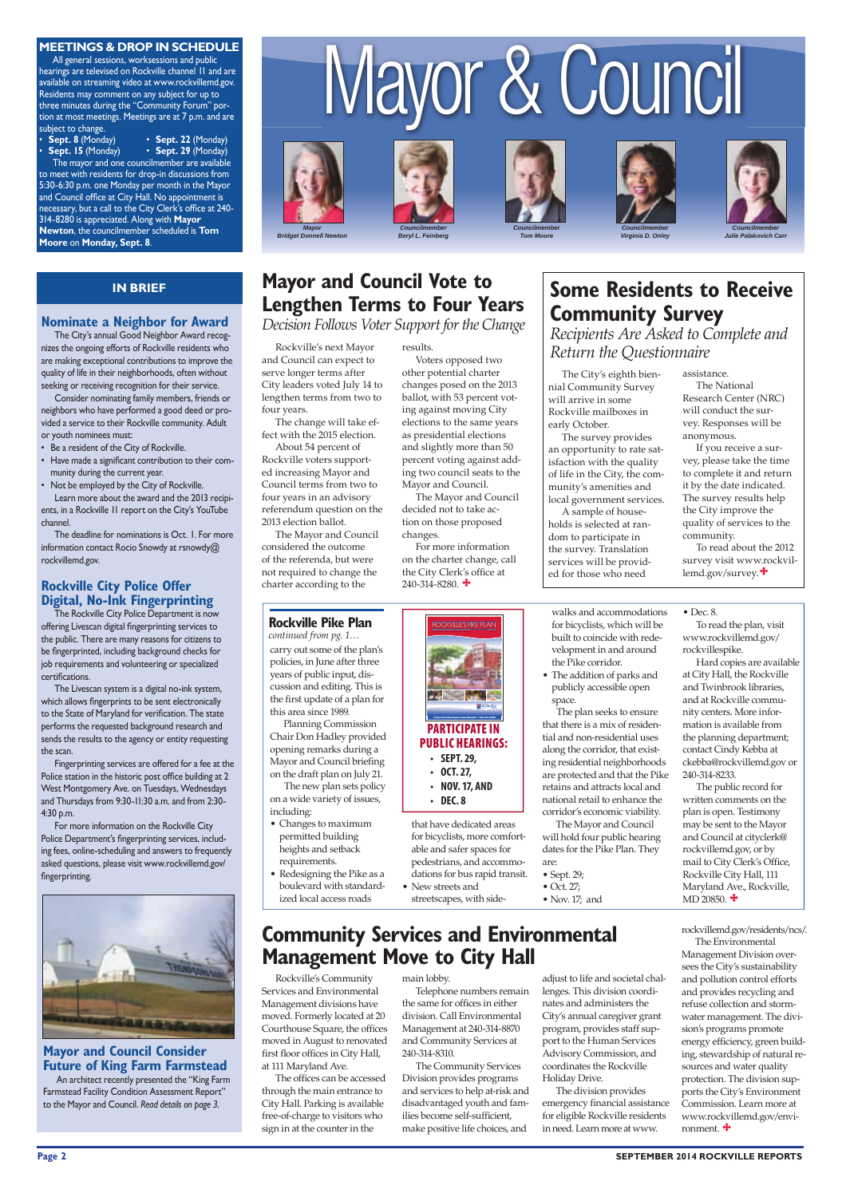#### **Page 2 SEPTEMBER 2014 ROCKVILLE REPORTS**

#### **MEETINGS & DROP IN SCHEDULE**

#### **IN BRIEF**

All general sessions, worksessions and public hearings are televised on Rockville channel 11 and are available on streaming video at www.rockvillemd.gov. Residents may comment on any subject for up to three minutes during the "Community Forum" portion at most meetings. Meetings are at 7 p.m. and are subject to change.

• **Sept. 8** (Monday) • **Sept. 22** (Monday) • **Sept. 15** (Monday) • **Sept. 29** (Monday)

The mayor and one councilmember are available to meet with residents for drop-in discussions from 5:30-6:30 p.m. one Monday per month in the Mayor and Council office at City Hall. No appointment is necessary, but a call to the City Clerk's office at 240-314-8280 is appreciated. Along with **Mayor Newton**, the councilmember scheduled is **Tom Moore** on **Monday, Sept. 8**.

# Mayor & Council

![](_page_1_Picture_20.jpeg)

![](_page_1_Picture_21.jpeg)

![](_page_1_Picture_22.jpeg)

![](_page_1_Picture_23.jpeg)

![](_page_1_Picture_24.jpeg)

![](_page_1_Picture_25.jpeg)

*Councilmember Tom Moore*

The Rockville City Police Department is now offering Livescan digital fingerprinting services to the public. There are many reasons for citizens to be fingerprinted, including background checks for job requirements and volunteering or specialized certifications.

*Councilmember Virginia D. Onley* 

*Councilmember Julie Palakovich Carr*

#### **Nominate a Neighbor for Award**

The City's annual Good Neighbor Award recognizes the ongoing efforts of Rockville residents who are making exceptional contributions to improve the quality of life in their neighborhoods, often without seeking or receiving recognition for their service.

For more information on the Rockville City Police Department's fingerprinting services, including fees, online-scheduling and answers to frequently asked questions, please visit www.rockvillemd.gov/ fingerprinting.

![](_page_1_Picture_18.jpeg)

Consider nominating family members, friends or neighbors who have performed a good deed or provided a service to their Rockville community. Adult or youth nominees must:

- Be a resident of the City of Rockville.
- Have made a significant contribution to their community during the current year.
- Not be employed by the City of Rockville. Learn more about the award and the 2013 recipients, in a Rockville 11 report on the City's YouTube channel.

The deadline for nominations is Oct. 1. For more information contact Rocio Snowdy at rsnowdy@ rockvillemd.gov.

#### **Rockville City Police Offer Digital, No-Ink Fingerprinting**

For more information on the charter change, call the City Clerk's office at  $240 - 314 - 8280$ .

The Livescan system is a digital no-ink system, which allows fingerprints to be sent electronically to the State of Maryland for verification. The state performs the requested background research and sends the results to the agency or entity requesting the scan.

To read about the 2012 survey visit www.rockvillemd.gov/survey.  $\bigstar$ 

Fingerprinting services are offered for a fee at the Police station in the historic post office building at 2 West Montgomery Ave. on Tuesdays, Wednesdays and Thursdays from 9:30-11:30 a.m. and from 2:30- 4:30 p.m.

Rockville's next Mayor and Council can expect to serve longer terms after City leaders voted July 14 to lengthen terms from two to four years.

The offices can be accessed through the main entrance to City Hall. Parking is available free-of-charge to visitors who sign in at the counter in the

The change will take effect with the 2015 election. About 54 percent of

Rockville voters supported increasing Mayor and Council terms from two to four years in an advisory referendum question on the 2013 election ballot.

The Mayor and Council considered the outcome of the referenda, but were not required to change the charter according to the

The City's eighth biennial Community Survey will arrive in some Rockville mailboxes in early October.

The survey provides an opportunity to rate satisfaction with the quality of life in the City, the community's amenities and local government services.

A sample of households is selected at random to participate in the survey. Translation services will be provided for those who need

> The public record for written comments on the plan is open. Testimony may be sent to the Mayor and Council at cityclerk@ rockvillemd.gov, or by mail to City Clerk's Office, Rockville City Hall, 111 Maryland Ave., Rockville, MD 20850.  $\ddagger$

## **Mayor and Council Vote to Lengthen Terms to Four Years**

*Decision Follows Voter Support for the Change*

results.

Voters opposed two other potential charter changes posed on the 2013 ballot, with 53 percent voting against moving City elections to the same years as presidential elections and slightly more than 50 percent voting against adding two council seats to the Mayor and Council. The Mayor and Council

decided not to take action on those proposed changes.

# **Some Residents to Receive Community Survey** *Recipients Are Asked to Complete and*

*Return the Questionnaire* 

assistance.

The National Research Center (NRC) will conduct the survey. Responses will be anonymous.

If you receive a survey, please take the time to complete it and return it by the date indicated. The survey results help the City improve the quality of services to the community.

#### **Rockville Pike Plan** *continued from pg. 1…*

carry out some of the plan's policies, in June after three years of public input, discussion and editing. This is the first update of a plan for this area since 1989.

Planning Commission Chair Don Hadley provided opening remarks during a Mayor and Council briefing on the draft plan on July 21.

 The new plan sets policy on a wide variety of issues, including:

- Changes to maximum permitted building heights and setback requirements.
- Redesigning the Pike as a boulevard with standardized local access roads

for bicyclists, more comfortable and safer spaces for pedestrians, and accommodations for bus rapid transit. • New streets and

streetscapes, with side-

Rockville's Community Services and Environmental Management divisions have moved. Formerly located at 20 Courthouse Square, the offices moved in August to renovated first floor offices in City Hall, at 111 Maryland Ave.

### **Community Services and Environmental Management Move to City Hall**

![](_page_1_Picture_54.jpeg)

main lobby.

Telephone numbers remain the same for offices in either division. Call Environmental Management at 240-314-8870 and Community Services at 240-314-8310.

The Community Services Division provides programs and services to help at-risk and disadvantaged youth and families become self-sufficient, make positive life choices, and

#### walks and accommodations for bicyclists, which will be built to coincide with redevelopment in and around the Pike corridor.

• The addition of parks and publicly accessible open space.

 The plan seeks to ensure that there is a mix of residential and non-residential uses along the corridor, that existing residential neighborhoods are protected and that the Pike retains and attracts local and national retail to enhance the corridor's economic viability.

The Mayor and Council will hold four public hearing dates for the Pike Plan. They are:

• Sept. 29;

• Oct. 27;

• Nov. 17; and

To read the plan, visit www.rockvillemd.gov/

rockvillespike. Hard copies are available at City Hall, the Rockville

• Dec. 8.

and Twinbrook libraries, and at Rockville community centers. More information is available from the planning department; contact Cindy Kebba at ckebba@rockvillemd.gov or 240-314-8233.

adjust to life and societal challenges. This division coordinates and administers the City's annual caregiver grant program, provides staff support to the Human Services Advisory Commission, and coordinates the Rockville Holiday Drive.

The division provides emergency financial assistance for eligible Rockville residents in need. Learn more at www.

rockvillemd.gov/residents/ncs/.

![](_page_1_Picture_69.jpeg)

The Environmental Management Division oversees the City's sustainability and pollution control efforts and provides recycling and refuse collection and stormwater management. The division's programs promote energy efficiency, green building, stewardship of natural resources and water quality protection. The division supports the City's Environment Commission. Learn more at www.rockvillemd.gov/environment.

#### **Mayor and Council Consider Future of King Farm Farmstead**

An architect recently presented the "King Farm Farmstead Facility Condition Assessment Report" to the Mayor and Council. *Read details on page 3.*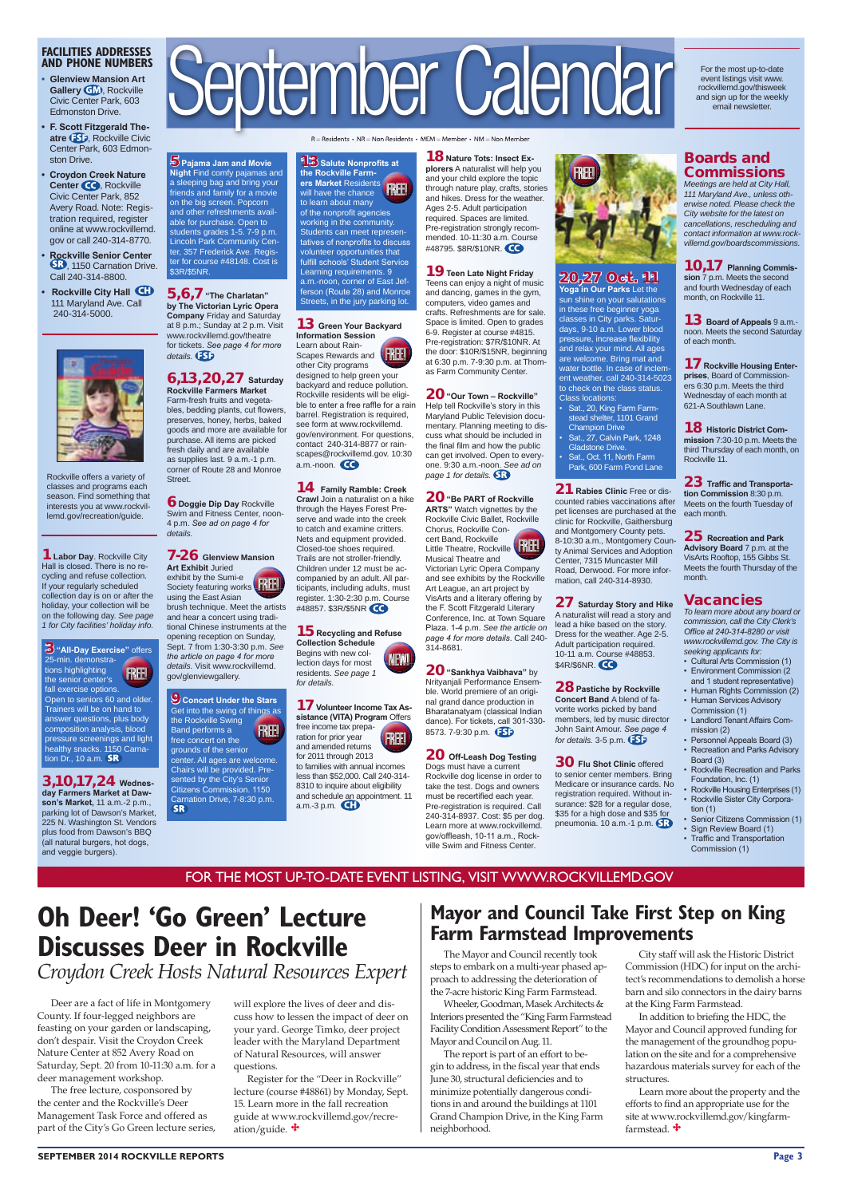#### **SEPTEMBER 2014 ROCKVILLE REPORTS Page 3**

#### **FACILITIES ADDRESSES AND PHONE NUMBERS**

- **• Glenview Mansion Art Gallery GM**, Rockville Civic Center Park, 603 Edmonston Drive.
- **F. Scott Fitzgerald The**atre **(ESE**), Rockville Civic Center Park, 603 Edmonston Drive.
- **Croydon Creek Nature Center CO**, Rockville Civic Center Park, 852 Avery Road. Note: Registration required, register online at www.rockvillemd. gov or call 240-314-8770.
- **Rockville Senior Center**  SB, 1150 Carnation Drive. Call 240-314-8800.
- **Rockville City Hall**  111 Maryland Ave. Call 240-314-5000.

![](_page_2_Picture_6.jpeg)

![](_page_2_Picture_11.jpeg)

 $R =$  Residents • NR = Non Residents • MEM = Member • NM = Non Member

Rockville offers a variety of classes and programs each season. Find something that interests you at www.rockvillemd.gov/recreation/guide.

FOR THE MOST UP-TO-DATE EVENT LISTING, VISIT WWW.ROCKVILLEMD.GOV

For the most up-to-date event listings visit www. rockvillemd.gov/thisweek and sign up for the weekly email newsletter.

**23** Traffic and Transporta**tion Commission** 8:30 p.m. Meets on the fourth Tuesday of each month.

Deer are a fact of life in Montgomery County. If four-legged neighbors are feasting on your garden or landscaping, don't despair. Visit the Croydon Creek Nature Center at 852 Avery Road on Saturday, Sept. 20 from 10-11:30 a.m. for a deer management workshop.

The free lecture, cosponsored by the center and the Rockville's Deer Management Task Force and offered as part of the City's Go Green lecture series,

#### Boards and Commissions

*Meetings are held at City Hall, 111 Maryland Ave., unless otherwise noted. Please check the City website for the latest on cancellations, rescheduling and contact information at www.rockvillemd.gov/boardscommissions.* 

10,17 **Planning Commission** 7 p.m. Meets the second and fourth Wednesday of each month, on Rockville 11.

13 **Board of Appeals** 9 a.m. noon. Meets the second Saturday of each month.

17 **Rockville Housing Enterprises**, Board of Commissioners 6:30 p.m. Meets the third Wednesday of each month at 621-A Southlawn Lane.

18 **Historic District Commission** 7:30-10 p.m. Meets the third Thursday of each month, on Rockville 11.

Register for the "Deer in Rockville" lecture (course #48861) by Monday, Sept. 15. Learn more in the fall recreation guide at www.rockvillemd.gov/recreation/guide.  $\mathbf{\ddot{+}}$ 

#### 25 **Recreation and Park**

**Advisory Board** 7 p.m. at the VisArts Rooftop, 155 Gibbs St. Meets the fourth Thursday of the month.

#### Vacancies

*To learn more about any board or commission, call the City Clerk's Offi ce at 240-314-8280 or visit www.rockvillemd.gov. The City is seeking applicants for:*

- Cultural Arts Commission (1) • Environment Commission (2
- and 1 student representative) • Human Rights Commission (2)
- Human Services Advisory Commission (1)
- Landlord Tenant Affairs Commission (2)
- Personnel Appeals Board (3) • Recreation and Parks Advisory
- Board (3)
- Rockville Recreation and Parks Foundation, Inc. (1)
- Rockville Housing Enterprises (1) • Rockville Sister City Corpora-
- tion  $(1)$ Senior Citizens Commission (1)
- Sign Review Board (1)
- Traffic and Transportation
	- Commission (1)

9 **Concert Under the Stars** Get into the swing of things as the Rockville Swing Band performs a free concert on the grounds of the senior center. All ages are welcome. Chairs will be provided. Presented by the City's Senior Citizens Commission. 1150 Carnation Drive, 7-8:30 p.m. **FREE!** 

1**Labor Day**. Rockville City Hall is closed. There is no recycling and refuse collection. If your regularly scheduled collection day is on or after the holiday, your collection will be on the following day. *See page 1 for City facilities' holiday info.*

3,10,17,24 **Wednesday Farmers Market at Dawson's Market,** 11 a.m.-2 p.m., parking lot of Dawson's Market, 225 N. Washington St. Vendors plus food from Dawson's BBQ (all natural burgers, hot dogs, and veggie burgers).

**13** Salute Nonprofits at **the Rockville Farmers Market** Residents will have the chance to learn about many of the nonprofit agencies working in the community. Students can meet representatives of nonprofits to discuss volunteer opportunities that fulfill schools' Student Service Learning requirements. 9 a.m.-noon, corner of East Jefferson (Route 28) and Monroe Streets, in the jury parking lot. FREE!

# **Oh Deer! 'Go Green' Lecture**

# **Discusses Deer in Rockville** *Croydon Creek Hosts Natural Resources Expert*

will explore the lives of deer and discuss how to lessen the impact of deer on your yard. George Timko, deer project leader with the Maryland Department of Natural Resources, will answer questions.

5**Pajama Jam and Movie Night** Find comfy pajamas and a sleeping bag and bring your friends and family for a movie on the big screen. Popcorn and other refreshments available for purchase. Open to students grades 1-5. 7-9 p.m. Lincoln Park Community Center, 357 Frederick Ave. Register for course #48148. Cost is

> 20**"Sankhya Vaibhava"** by Nrityanjali Performance Ensemble. World premiere of an original grand dance production in Bharatanatyam (classical Indian dance). For tickets, call 301-330- 8573. 7-9:30 p.m. **553**

3**"All-Day Exercise"** offers 25-min. demonstrations highlighting the senior center's fall exercise options. Open to seniors 60 and older. Trainers will be on hand to answer questions, plus body composition analysis, blood pressure screenings and light healthy snacks. 1150 Carnation Dr., 10 a.m. FREE!

\$3R/\$5NR.

details. **55** 

5,6,7**"The Charlatan" by The Victorian Lyric Opera Company** Friday and Saturday at 8 p.m.; Sunday at 2 p.m. Visit www.rockvillemd.gov/theatre for tickets. *See page 4 for more* 

6,13,20,27 **Saturday Rockville Farmers Market** Farm-fresh fruits and vegetables, bedding plants, cut flowers, preserves, honey, herbs, baked goods and more are available for purchase. All items are picked fresh daily and are available as supplies last. 9 a.m.-1 p.m. corner of Route 28 and Monroe

Street.

6 **Doggie Dip Day** Rockville Swim and Fitness Center, noon-4 p.m. *See ad on page 4 for* 

> 27 **Saturday Story and Hike** A naturalist will read a story and lead a hike based on the story. Dress for the weather. Age 2-5. Adult participation required. 10-11 a.m. Course #48853. \$4R/\$6NR. CO

*details.*

![](_page_2_Picture_69.jpeg)

brush technique. Meet the artists

and hear a concert using traditional Chinese instruments at the opening reception on Sunday, Sept. 7 from 1:30-3:30 p.m. *See the article on page 4 for more details.* Visit www.rockvillemd.

gov/glenviewgallery.

In addition to briefing the HDC, the Mayor and Council approved funding for the management of the groundhog population on the site and for a comprehensive hazardous materials survey for each of the structures.

Learn more about the property and the efforts to find an appropriate use for the site at www.rockvillemd.gov/kingfarmfarmstead.  $\ddot{\textbf{+}}$ 

![](_page_2_Picture_15.jpeg)

#### 13 **Green Your Backyard Information Session** Learn about Rain-

NEW! 15 **Recycling and Refuse Collection Schedule** Begins with new collection days for most residents. *See page 1 for details.*

designed to help green your backyard and reduce pollution. Rockville residents will be eligible to enter a free raffle for a rain barrel. Registration is required, see form at www.rockvillemd. gov/environment. For questions, contact 240-314-8877 or rainscapes@rockvillemd.gov. 10:30 a.m.-noon.

#### 14 **Family Ramble: Creek**

**Crawl** Join a naturalist on a hike through the Hayes Forest Preserve and wade into the creek to catch and examine critters. Nets and equipment provided. Closed-toe shoes required. Trails are not stroller-friendly. Children under 12 must be accompanied by an adult. All participants, including adults, must register. 1:30-2:30 p.m. Course #48857. \$3R/\$5NR

![](_page_2_Picture_21.jpeg)

18 **Nature Tots: Insect Explorers** A naturalist will help you and your child explore the topic through nature play, crafts, stories and hikes. Dress for the weather. Ages 2-5. Adult participation required. Spaces are limited. Pre-registration strongly recommended. 10-11:30 a.m. Course #48795. \$8R/\$10NR.

#### 19**Teen Late Night Friday**

Teens can enjoy a night of music and dancing, games in the gym, computers, video games and crafts. Refreshments are for sale. Space is limited. Open to grades 6-9. Register at course #4815. Pre-registration: \$7R/\$10NR. At the door: \$10R/\$15NR, beginning at 6:30 p.m. 7-9:30 p.m. at Thomas Farm Community Center.

20**"Our Town – Rockville"** Help tell Rockville's story in this Maryland Public Television documentary. Planning meeting to discuss what should be included in the final film and how the public can get involved. Open to everyone. 9:30 a.m.-noon. *See ad on page 1 for details.*

17 **Volunteer Income Tax Assistance (VITA) Program** Offers free income tax preparation for prior year and amended returns for 2011 through 2013 FREE!

#### 20**"Be PART of Rockville**

**ARTS"** Watch vignettes by the Rockville Civic Ballet, Rockville Chorus, Rockville Concert Band, Rockville cert Band, Rockville<br>Little Theatre, Rockville **(FREE** Musical Theatre and Victorian Lyric Opera Company and see exhibits by the Rockville Art League, an art project by VisArts and a literary offering by the F. Scott Fitzgerald Literary Conference, Inc. at Town Square

Plaza. 1-4 p.m. *See the article on page 4 for more details*. Call 240- 314-8681.

#### 20 **Off-Leash Dog Testing** Dogs must have a current

Rockville dog license in order to take the test. Dogs and owners must be recertified each year. Pre-registration is required. Call 240-314-8937. Cost: \$5 per dog. Learn more at www.rockvillemd. gov/offleash, 10-11 a.m., Rockville Swim and Fitness Center.

![](_page_2_Picture_32.jpeg)

#### 20,27 Oct. 11

**Yoga in Our Parks** Let the sun shine on your salutations in these free beginner yoga classes in City parks. Saturdays, 9-10 a.m. Lower blood pressure, increase flexibility and relax your mind. All ages are welcome. Bring mat and water bottle. In case of inclement weather, call 240-314-5023 to check on the class status. Class locations:

• Sat., 20, King Farm Farm stead shelter, 1101 Grand Champion Drive

• Sat., 27, Calvin Park, 1248 Gladstone Drive.

• Sat., Oct. 11, North Farm Park, 600 Farm Pond Lane

21 **Rabies Clinic** Free or discounted rabies vaccinations after pet licenses are purchased at the clinic for Rockville, Gaithersburg and Montgomery County pets. 8-10:30 a.m., Montgomery County Animal Services and Adoption Center, 7315 Muncaster Mill Road, Derwood. For more information, call 240-314-8930.

28**Pastiche by Rockville Concert Band** A blend of favorite works picked by band members, led by music director John Saint Amour. *See page 4 for details.* 3-5 p.m.

30 **Flu Shot Clinic** offered to senior center members. Bring Medicare or insurance cards. No registration required. Without insurance: \$28 for a regular dose, \$35 for a high dose and \$35 for pneumonia. 10 a.m.-1 p.m.

The Mayor and Council recently took steps to embark on a multi-year phased approach to addressing the deterioration of the 7-acre historic King Farm Farmstead. Wheeler, Goodman, Masek Architects & Interiors presented the "King Farm Farmstead Facility Condition Assessment Report" to the Mayor and Council on Aug. 11.

The report is part of an effort to begin to address, in the fiscal year that ends June 30, structural deficiencies and to minimize potentially dangerous conditions in and around the buildings at 1101 Grand Champion Drive, in the King Farm neighborhood.

City staff will ask the Historic District Commission (HDC) for input on the architect's recommendations to demolish a horse barn and silo connectors in the dairy barns at the King Farm Farmstead.

**Mayor and Council Take First Step on King Farm Farmstead Improvements**